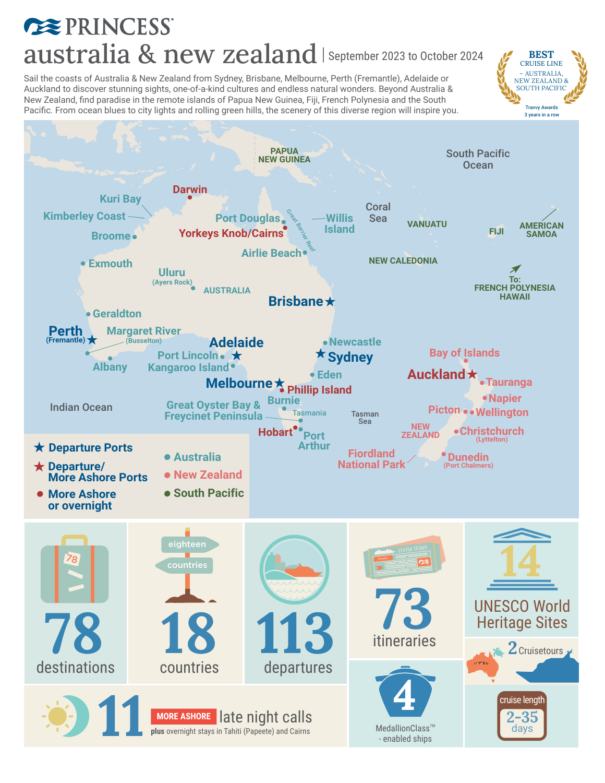## **EXPRINCESS** australia & new zealand | September 2023 to October 2024

**BEST** CRUISE LINE – AUSTRALIA, NEW ZEALAND & SOUTH PACIFIC Travvy Awards

Sail the coasts of Australia & New Zealand from Sydney, Brisbane, Melbourne, Perth (Fremantle), Adelaide or Auckland to discover stunning sights, one-of-a-kind cultures and endless natural wonders. Beyond Australia & New Zealand, find paradise in the remote islands of Papua New Guinea, Fiji, French Polynesia and the South Pacific. From ocean blues to city lights and rolling green hills, the scenery of this diverse region will inspire you.